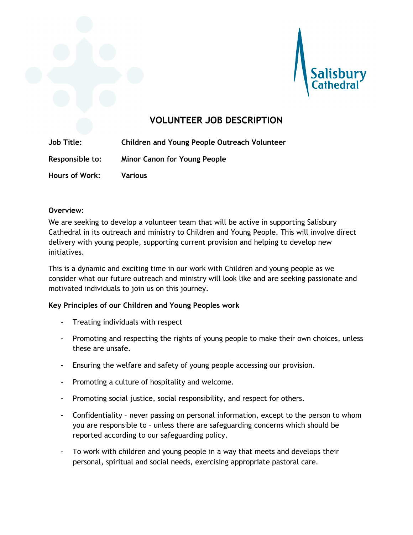



# **VOLUNTEER JOB DESCRIPTION**

**Job Title: Children and Young People Outreach Volunteer Responsible to: Minor Canon for Young People Hours of Work: Various**

### **Overview:**

We are seeking to develop a volunteer team that will be active in supporting Salisbury Cathedral in its outreach and ministry to Children and Young People. This will involve direct delivery with young people, supporting current provision and helping to develop new initiatives.

This is a dynamic and exciting time in our work with Children and young people as we consider what our future outreach and ministry will look like and are seeking passionate and motivated individuals to join us on this journey.

### **Key Principles of our Children and Young Peoples work**

- Treating individuals with respect
- Promoting and respecting the rights of young people to make their own choices, unless these are unsafe.
- Ensuring the welfare and safety of young people accessing our provision.
- Promoting a culture of hospitality and welcome.
- Promoting social justice, social responsibility, and respect for others.
- Confidentiality never passing on personal information, except to the person to whom you are responsible to – unless there are safeguarding concerns which should be reported according to our safeguarding policy.
- To work with children and young people in a way that meets and develops their personal, spiritual and social needs, exercising appropriate pastoral care.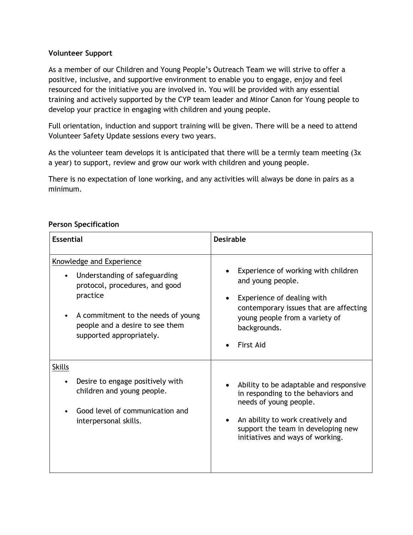# **Volunteer Support**

As a member of our Children and Young People's Outreach Team we will strive to offer a positive, inclusive, and supportive environment to enable you to engage, enjoy and feel resourced for the initiative you are involved in. You will be provided with any essential training and actively supported by the CYP team leader and Minor Canon for Young people to develop your practice in engaging with children and young people.

Full orientation, induction and support training will be given. There will be a need to attend Volunteer Safety Update sessions every two years.

As the volunteer team develops it is anticipated that there will be a termly team meeting (3x a year) to support, review and grow our work with children and young people.

There is no expectation of lone working, and any activities will always be done in pairs as a minimum.

# **Person Specification**

| <b>Essential</b>                                                                                                                                                                                                    | <b>Desirable</b>                                                                                                                                                                                                      |
|---------------------------------------------------------------------------------------------------------------------------------------------------------------------------------------------------------------------|-----------------------------------------------------------------------------------------------------------------------------------------------------------------------------------------------------------------------|
| <b>Knowledge and Experience</b><br>Understanding of safeguarding<br>protocol, procedures, and good<br>practice<br>A commitment to the needs of young<br>people and a desire to see them<br>supported appropriately. | Experience of working with children<br>and young people.<br>Experience of dealing with<br>contemporary issues that are affecting<br>young people from a variety of<br>backgrounds.<br><b>First Aid</b>                |
| <b>Skills</b><br>Desire to engage positively with<br>children and young people.<br>Good level of communication and<br>interpersonal skills.                                                                         | Ability to be adaptable and responsive<br>in responding to the behaviors and<br>needs of young people.<br>An ability to work creatively and<br>support the team in developing new<br>initiatives and ways of working. |